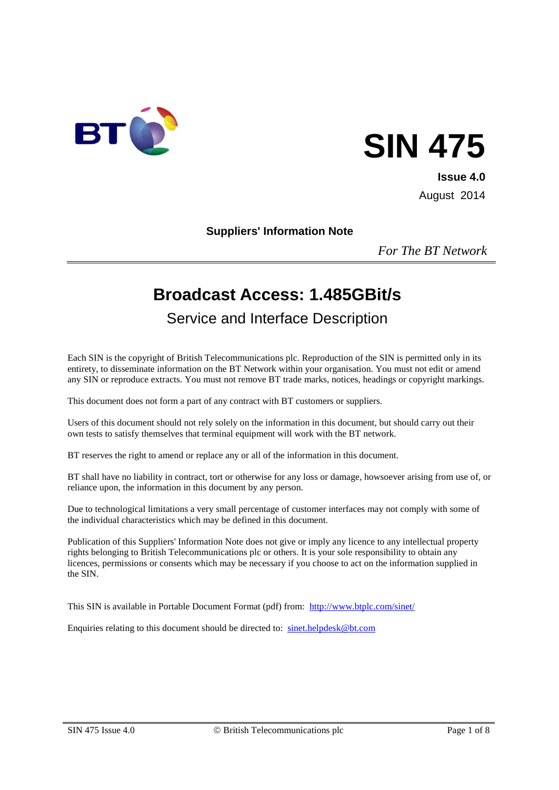



**Issue 4.0** August 2014

#### **Suppliers' Information Note**

*For The BT Network*

# **Broadcast Access: 1.485GBit/s**

Service and Interface Description

Each SIN is the copyright of British Telecommunications plc. Reproduction of the SIN is permitted only in its entirety, to disseminate information on the BT Network within your organisation. You must not edit or amend any SIN or reproduce extracts. You must not remove BT trade marks, notices, headings or copyright markings.

This document does not form a part of any contract with BT customers or suppliers.

Users of this document should not rely solely on the information in this document, but should carry out their own tests to satisfy themselves that terminal equipment will work with the BT network.

BT reserves the right to amend or replace any or all of the information in this document.

BT shall have no liability in contract, tort or otherwise for any loss or damage, howsoever arising from use of, or reliance upon, the information in this document by any person.

Due to technological limitations a very small percentage of customer interfaces may not comply with some of the individual characteristics which may be defined in this document.

Publication of this Suppliers' Information Note does not give or imply any licence to any intellectual property rights belonging to British Telecommunications plc or others. It is your sole responsibility to obtain any licences, permissions or consents which may be necessary if you choose to act on the information supplied in the SIN.

This SIN is available in Portable Document Format (pdf) from: <http://www.btplc.com/sinet/>

Enquiries relating to this document should be directed to: [sinet.helpdesk@bt.com](mailto:sinet.helpdesk@bt.com)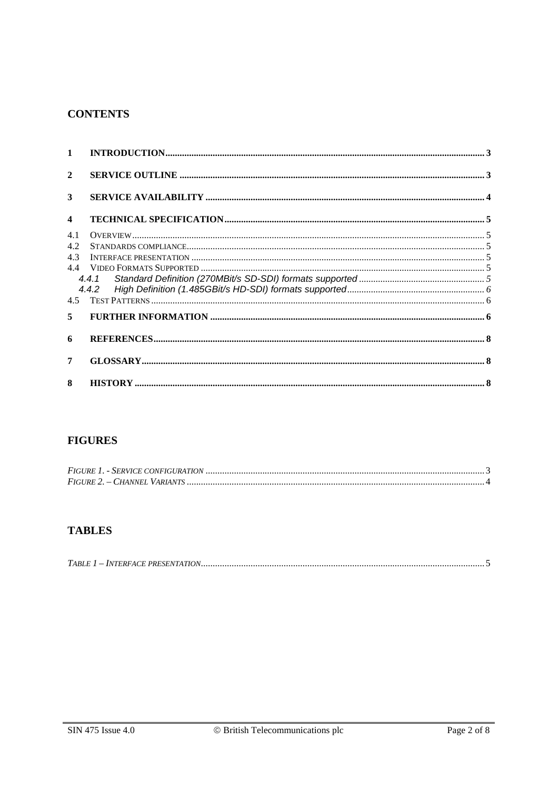#### **CONTENTS**

| $\mathbf{1}$            | INTRODUCTION 3                                                                                                                                                                                                                                                                                                                                                                                      |  |
|-------------------------|-----------------------------------------------------------------------------------------------------------------------------------------------------------------------------------------------------------------------------------------------------------------------------------------------------------------------------------------------------------------------------------------------------|--|
| $\mathbf{2}$            |                                                                                                                                                                                                                                                                                                                                                                                                     |  |
| 3                       |                                                                                                                                                                                                                                                                                                                                                                                                     |  |
| $\overline{\mathbf{4}}$ |                                                                                                                                                                                                                                                                                                                                                                                                     |  |
| 4.1                     |                                                                                                                                                                                                                                                                                                                                                                                                     |  |
| 4.2                     | ${\bf STANDARDS\hskip1pt CONPLIANCE}\hskip-2pt  \hskip-2pt  \hskip-2pt  \hskip-2pt  \hskip-2pt  \hskip-2pt  \hskip-2pt  \hskip-2pt  \hskip-2pt  \hskip-2pt  \hskip-2pt  \hskip-2pt  \hskip-2pt  \hskip-2pt  \hskip-2pt  \hskip-2pt  \hskip-2pt  \hskip-2pt  \hskip-2pt  \hskip-2pt  \hskip-2pt  \hskip-2pt  \hskip-2pt  \hskip-2pt  \hskip-2pt  \hskip-2pt  \hskip-2pt  \hskip-2pt  \hskip-2pt  \h$ |  |
| 4.3                     |                                                                                                                                                                                                                                                                                                                                                                                                     |  |
| 44                      |                                                                                                                                                                                                                                                                                                                                                                                                     |  |
|                         |                                                                                                                                                                                                                                                                                                                                                                                                     |  |
|                         |                                                                                                                                                                                                                                                                                                                                                                                                     |  |
| 4.5                     |                                                                                                                                                                                                                                                                                                                                                                                                     |  |
| 5                       |                                                                                                                                                                                                                                                                                                                                                                                                     |  |
| 6                       |                                                                                                                                                                                                                                                                                                                                                                                                     |  |
| 7                       |                                                                                                                                                                                                                                                                                                                                                                                                     |  |
| $\mathbf{8}$            |                                                                                                                                                                                                                                                                                                                                                                                                     |  |

# **FIGURES**

# **TABLES**

|--|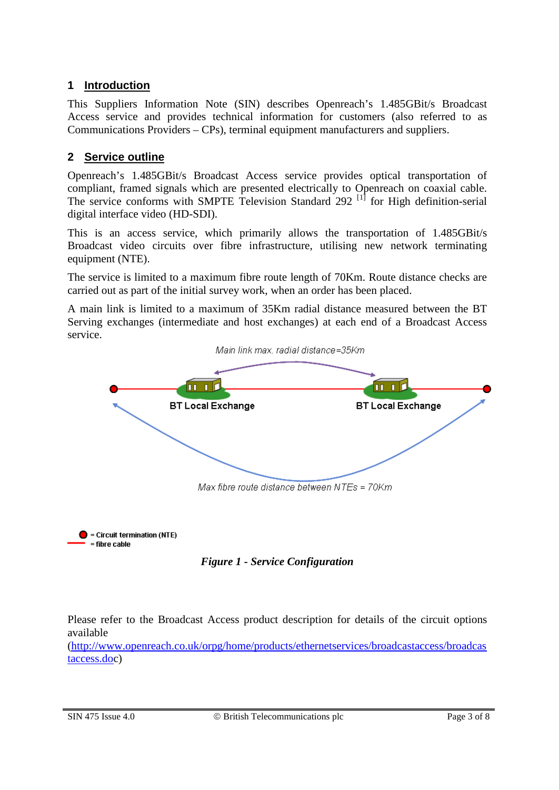# **1 Introduction**

This Suppliers Information Note (SIN) describes Openreach's 1.485GBit/s Broadcast Access service and provides technical information for customers (also referred to as Communications Providers – CPs), terminal equipment manufacturers and suppliers.

# **2 Service outline**

Openreach's 1.485GBit/s Broadcast Access service provides optical transportation of compliant, framed signals which are presented electrically to Openreach on coaxial cable. The service conforms with SMPTE Television Standard 292<sup>[1]</sup> for High definition-serial digital interface video (HD-SDI).

This is an access service, which primarily allows the transportation of 1.485GBit/s Broadcast video circuits over fibre infrastructure, utilising new network terminating equipment (NTE).

The service is limited to a maximum fibre route length of 70Km. Route distance checks are carried out as part of the initial survey work, when an order has been placed.

A main link is limited to a maximum of 35Km radial distance measured between the BT Serving exchanges (intermediate and host exchanges) at each end of a Broadcast Access service.



 $\bullet$  = Circuit termination (NTE)  $=$  fibre cable



Please refer to the Broadcast Access product description for details of the circuit options available

[\(http://www.openreach.co.uk/orpg/home/products/ethernetservices/broadcastaccess/broadcas](http://www.openreach.co.uk/orpg/home/products/ethernetservices/broadcastaccess/broadcastaccess.do) [taccess.doc](http://www.openreach.co.uk/orpg/home/products/ethernetservices/broadcastaccess/broadcastaccess.do))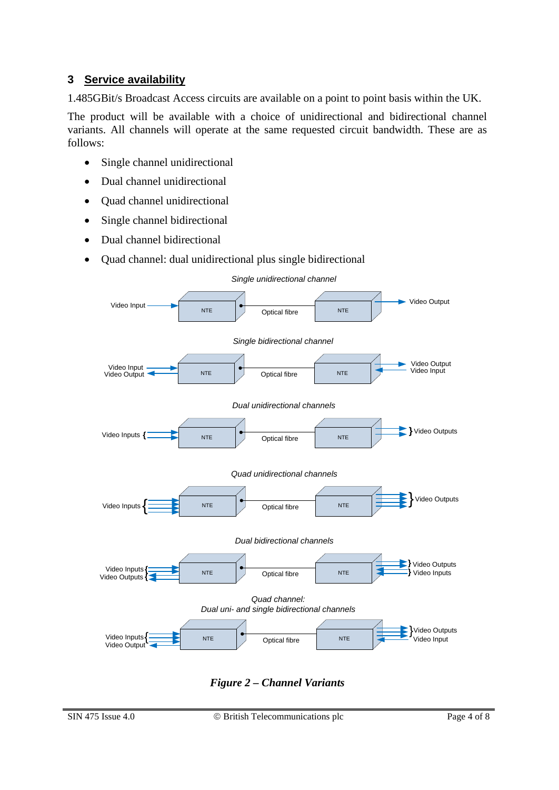# **3 Service availability**

1.485GBit/s Broadcast Access circuits are available on a point to point basis within the UK.

The product will be available with a choice of unidirectional and bidirectional channel variants. All channels will operate at the same requested circuit bandwidth. These are as follows:

- Single channel unidirectional
- Dual channel unidirectional
- Ouad channel unidirectional
- Single channel bidirectional
- Dual channel bidirectional
- Quad channel: dual unidirectional plus single bidirectional



*Figure 2 – Channel Variants*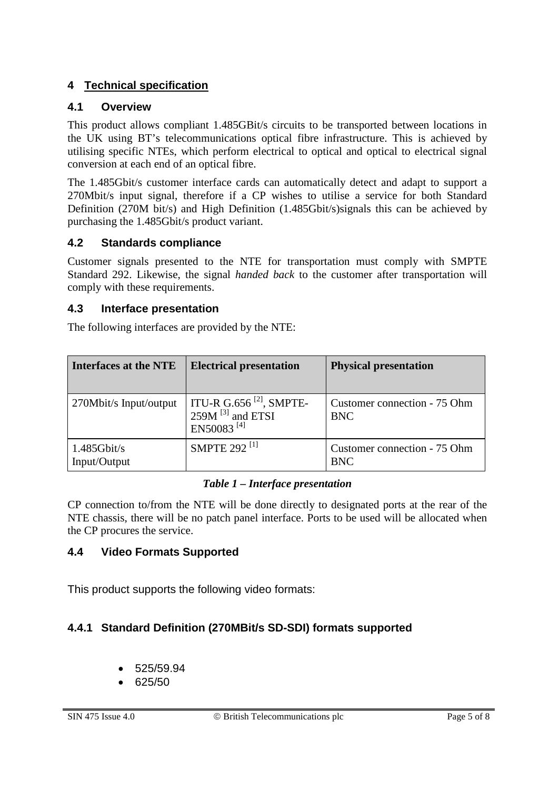# **4 Technical specification**

### **4.1 Overview**

This product allows compliant 1.485GBit/s circuits to be transported between locations in the UK using BT's telecommunications optical fibre infrastructure. This is achieved by utilising specific NTEs, which perform electrical to optical and optical to electrical signal conversion at each end of an optical fibre.

The 1.485Gbit/s customer interface cards can automatically detect and adapt to support a 270Mbit/s input signal, therefore if a CP wishes to utilise a service for both Standard Definition (270M bit/s) and High Definition (1.485Gbit/s)signals this can be achieved by purchasing the 1.485Gbit/s product variant.

### **4.2 Standards compliance**

Customer signals presented to the NTE for transportation must comply with SMPTE Standard 292. Likewise, the signal *handed back* to the customer after transportation will comply with these requirements.

#### **4.3 Interface presentation**

The following interfaces are provided by the NTE:

| <b>Interfaces at the NTE</b>   | <b>Electrical presentation</b>                                                                  | <b>Physical presentation</b>               |
|--------------------------------|-------------------------------------------------------------------------------------------------|--------------------------------------------|
| 270Mbit/s Input/output         | ITU-R G.656 <sup>[2]</sup> , SMPTE-<br>$259M$ <sup>[3]</sup> and ETSI<br>EN50083 <sup>[4]</sup> | Customer connection - 75 Ohm<br><b>BNC</b> |
| $1.485$ Gbit/s<br>Input/Output | <b>SMPTE 292<sup>[1]</sup></b>                                                                  | Customer connection - 75 Ohm<br><b>BNC</b> |

#### *Table 1 – Interface presentation*

<span id="page-4-0"></span>CP connection to/from the NTE will be done directly to designated ports at the rear of the NTE chassis, there will be no patch panel interface. Ports to be used will be allocated when the CP procures the service.

# **4.4 Video Formats Supported**

This product supports the following video formats:

# **4.4.1 Standard Definition (270MBit/s SD-SDI) formats supported**

- 525/59.94
- 625/50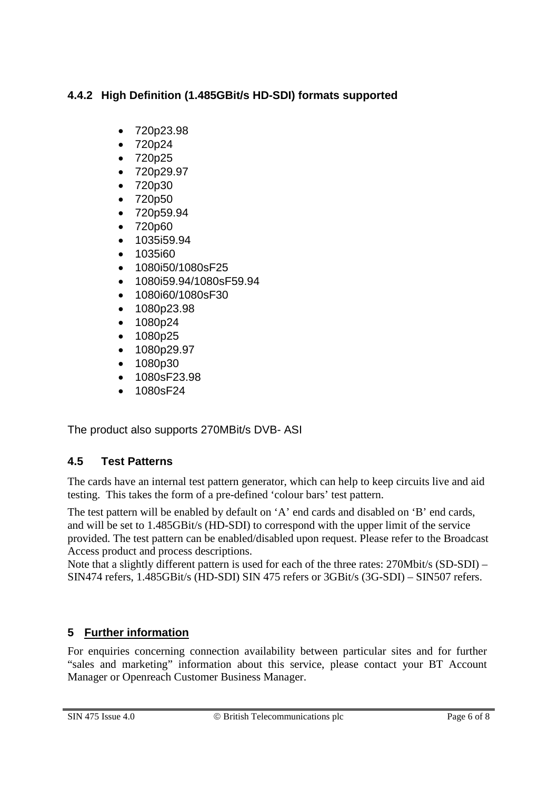# **4.4.2 High Definition (1.485GBit/s HD-SDI) formats supported**

- 720p23.98
- 720p24
- 720p25
- 720p29.97
- 720p30
- 720p50
- 720p59.94
- 720p60
- 1035i59.94
- 1035i60
- 1080i50/1080sF25
- 1080i59.94/1080sF59.94
- 1080i60/1080sF30
- 1080p23.98
- 1080p24
- 1080p25
- 1080p29.97
- 1080p30
- 1080sF23.98
- 1080sF24

The product also supports 270MBit/s DVB- ASI

# **4.5 Test Patterns**

The cards have an internal test pattern generator, which can help to keep circuits live and aid testing. This takes the form of a pre-defined 'colour bars' test pattern.

The test pattern will be enabled by default on 'A' end cards and disabled on 'B' end cards, and will be set to 1.485GBit/s (HD-SDI) to correspond with the upper limit of the service provided. The test pattern can be enabled/disabled upon request. Please refer to the Broadcast Access product and process descriptions.

Note that a slightly different pattern is used for each of the three rates: 270Mbit/s (SD-SDI) – SIN474 refers, 1.485GBit/s (HD-SDI) SIN 475 refers or 3GBit/s (3G-SDI) – SIN507 refers.

# **5 Further information**

For enquiries concerning connection availability between particular sites and for further "sales and marketing" information about this service, please contact your BT Account Manager or Openreach Customer Business Manager.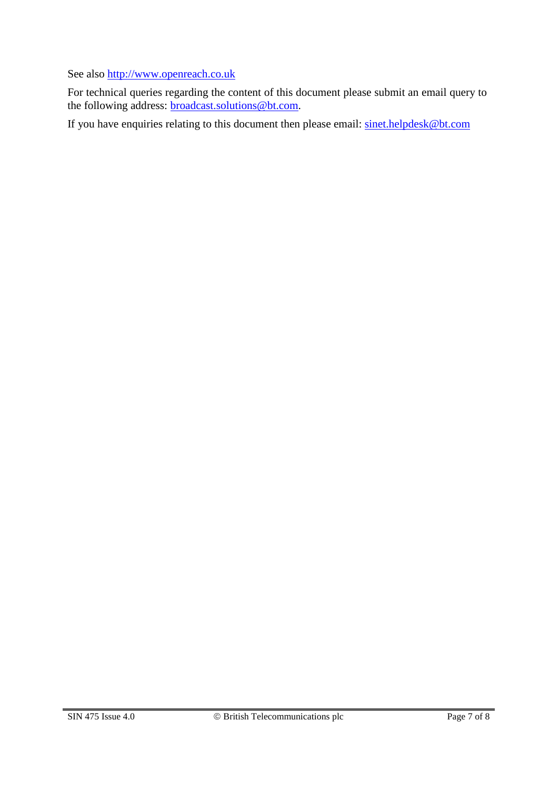See also [http://www.openreach.co.uk](http://www.openreach.co.uk/)

For technical queries regarding the content of this document please submit an email query to the following address: <u>broadcast.solutions@bt.com</u>.

If you have enquiries relating to this document then please email: [sinet.helpdesk@bt.com](mailto:sinet.helpdesk@bt.com)